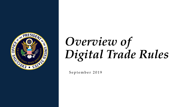

# *Overview of Digital Trade Rules*

September 2019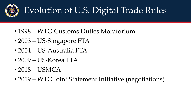

## Evolution of U.S. Digital Trade Rules

- 1998 WTO Customs Duties Moratorium
- 2003 US-Singapore FTA
- 2004 US-Australia FTA
- 2009 US-Korea FTA
- 2018 USMCA
- 2019 WTO Joint Statement Initiative (negotiations)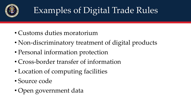

### Examples of Digital Trade Rules

- Customs duties moratorium
- Non-discriminatory treatment of digital products
- Personal information protection
- Cross-border transfer of information
- Location of computing facilities
- Source code
- Open government data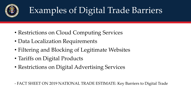

### Examples of Digital Trade Barriers

- Restrictions on Cloud Computing Services
- Data Localization Requirements
- Filtering and Blocking of Legitimate Websites
- Tariffs on Digital Products
- Restrictions on Digital Advertising Services

- FACT SHEET ON 2019 NATIONAL TRADE ESTIMATE: Key Barriers to Digital Trade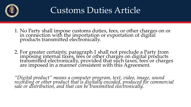

#### Customs Duties Article

- 1. No Party shall impose customs duties, fees, or other charges on or in connection with the importation or exportation of digital products transmitted electronically.
- 2. For greater certainty, paragraph 1 shall not preclude a Party from imposing internal taxes, fees or other charges on digital products transmitted electronically, provided that such taxes, fees or charges are imposed in a manner consistent with this Agreement.

*"Digital product" means a computer program, text, video, image, sound*  recording or other product that is digitally encoded, produced for commercial *sale or distribution, and that can be transmitted electronically.*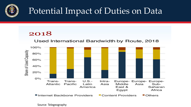

#### Potential Impact of Duties on Data

#### 2018

#### Used International Bandwidth by Route, 2018

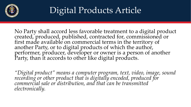

#### Digital Products Article

No Party shall accord less favorable treatment to a digital product created, produced, published, contracted for, commissioned or first made available on commercial terms in the territory of another Party, or to digital products of which the author, performer, producer, developer or owner is a person of another Party, than it accords to other like digital products.

*"Digital product" means a computer program, text, video, image, sound recording or other product that is digitally encoded, produced for commercial sale or distribution, and that can be transmitted electronically.*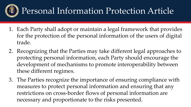

#### Personal Information Protection Article

- 1. Each Party shall adopt or maintain a legal framework that provides for the protection of the personal information of the users of digital trade.
- 2. Recognizing that the Parties may take different legal approaches to protecting personal information, each Party should encourage the development of mechanisms to promote interoperability between these different regimes.
- 3. The Parties recognize the importance of ensuring compliance with measures to protect personal information and ensuring that any restrictions on cross-border flows of personal information are necessary and proportionate to the risks presented.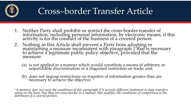

#### Cross–border Transfer Article

- 1. Neither Party shall prohibit or restrict the cross-border transfer of information, including personal information, by electronic means, if this activity is for the conduct of the business of a covered person.
- 2. Nothing in this Article shall prevent a Party from adopting or maintaining a measure inconsistent with paragraph 1 that is necessary to achieve a legitimate public policy objective, provided that the measure:
	- (a) is not applied in a manner which would constitute a means of arbitrary or unjustifiable discrimination or a disguised restriction on trade; and
	- (b) does not impose restrictions on transfers of information greater than are necessary to achieve the objective. \*

*\*A measure does not meet the conditions of this paragraph if it accords different treatment to data transfers solely on the basis that they are cross-border in a manner that modifies the conditions of competition to the detriment of a covered person.*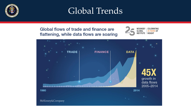

#### Global Trends

Global flows of trade and finance are flattening, while data flows are soaring



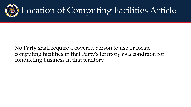

#### Location of Computing Facilities Article

No Party shall require a covered person to use or locate computing facilities in that Party's territory as a condition for conducting business in that territory.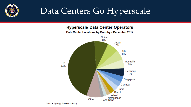

#### Data Centers Go Hyperscale

**Hyperscale Data Center Operators** 



Data Center Locations by Country - December 2017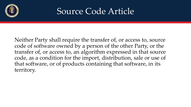

#### Source Code Article

Neither Party shall require the transfer of, or access to, source code of software owned by a person of the other Party, or the transfer of, or access to, an algorithm expressed in that source code, as a condition for the import, distribution, sale or use of that software, or of products containing that software, in its territory.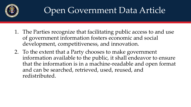

#### Open Government Data Article

- 1. The Parties recognize that facilitating public access to and use of government information fosters economic and social development, competitiveness, and innovation.
- 2. To the extent that a Party chooses to make government information available to the public, it shall endeavor to ensure that the information is in a machine-readable and open format and can be searched, retrieved, used, reused, and redistributed.